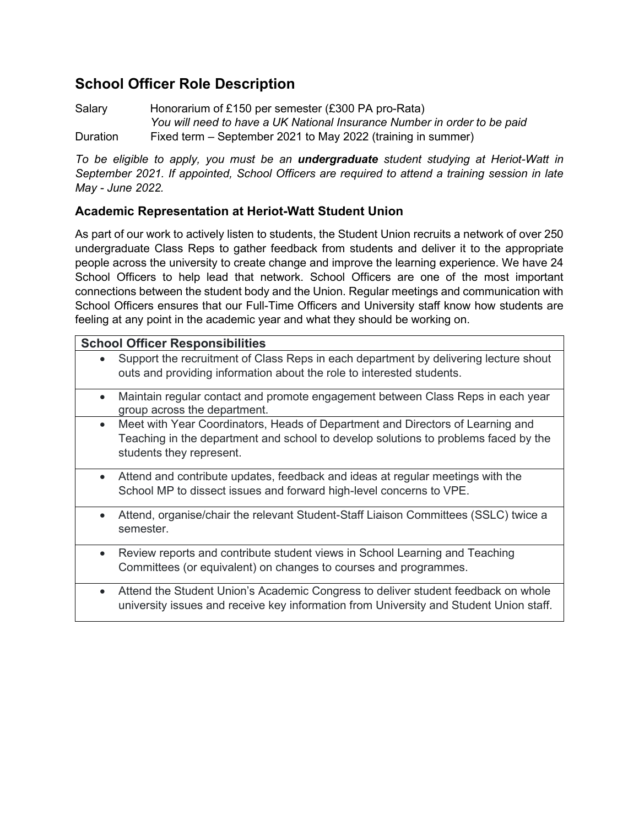## **School Officer Role Description**

Salary Honorarium of £150 per semester (£300 PA pro-Rata) *You will need to have a UK National Insurance Number in order to be paid* Duration Fixed term – September 2021 to May 2022 (training in summer)

*To be eligible to apply, you must be an undergraduate student studying at Heriot-Watt in September 2021. If appointed, School Officers are required to attend a training session in late May - June 2022.* 

## **Academic Representation at Heriot-Watt Student Union**

As part of our work to actively listen to students, the Student Union recruits a network of over 250 undergraduate Class Reps to gather feedback from students and deliver it to the appropriate people across the university to create change and improve the learning experience. We have 24 School Officers to help lead that network. School Officers are one of the most important connections between the student body and the Union. Regular meetings and communication with School Officers ensures that our Full-Time Officers and University staff know how students are feeling at any point in the academic year and what they should be working on.

| <b>School Officer Responsibilities</b> |                                                                                                                                                                                                   |  |  |  |
|----------------------------------------|---------------------------------------------------------------------------------------------------------------------------------------------------------------------------------------------------|--|--|--|
| $\bullet$                              | Support the recruitment of Class Reps in each department by delivering lecture shout<br>outs and providing information about the role to interested students.                                     |  |  |  |
| $\bullet$                              | Maintain regular contact and promote engagement between Class Reps in each year<br>group across the department.                                                                                   |  |  |  |
| $\bullet$                              | Meet with Year Coordinators, Heads of Department and Directors of Learning and<br>Teaching in the department and school to develop solutions to problems faced by the<br>students they represent. |  |  |  |
| $\bullet$                              | Attend and contribute updates, feedback and ideas at regular meetings with the<br>School MP to dissect issues and forward high-level concerns to VPE.                                             |  |  |  |
|                                        | Attend, organise/chair the relevant Student-Staff Liaison Committees (SSLC) twice a<br>semester.                                                                                                  |  |  |  |
| $\bullet$                              | Review reports and contribute student views in School Learning and Teaching<br>Committees (or equivalent) on changes to courses and programmes.                                                   |  |  |  |
| $\bullet$                              | Attend the Student Union's Academic Congress to deliver student feedback on whole<br>university issues and receive key information from University and Student Union staff.                       |  |  |  |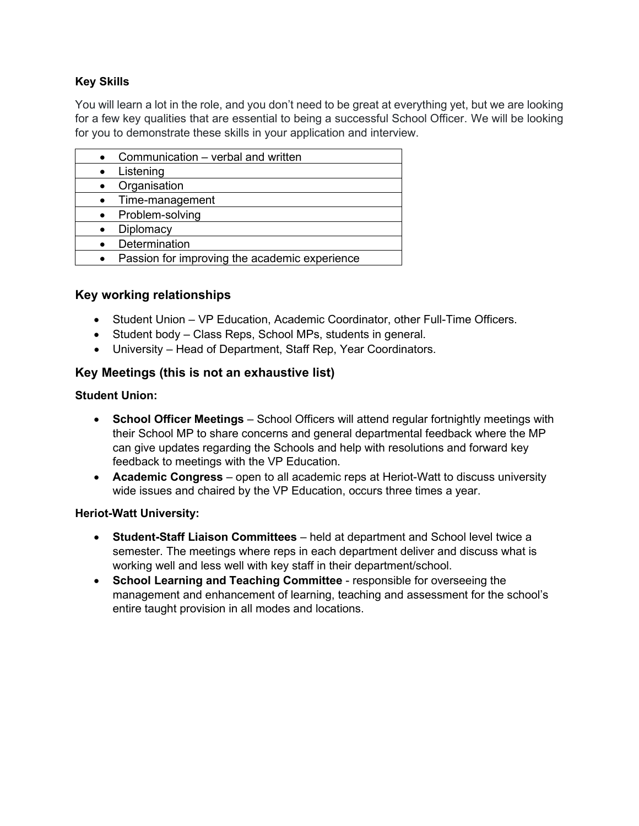## **Key Skills**

You will learn a lot in the role, and you don't need to be great at everything yet, but we are looking for a few key qualities that are essential to being a successful School Officer. We will be looking for you to demonstrate these skills in your application and interview.

| Communication – verbal and written            |
|-----------------------------------------------|
| Listening                                     |
| Organisation                                  |
| Time-management                               |
| Problem-solving                               |
| Diplomacy                                     |
| Determination                                 |
| Passion for improving the academic experience |

## **Key working relationships**

- Student Union VP Education, Academic Coordinator, other Full-Time Officers.
- Student body Class Reps, School MPs, students in general.
- University Head of Department, Staff Rep, Year Coordinators.

## **Key Meetings (this is not an exhaustive list)**

#### **Student Union:**

- **School Officer Meetings** School Officers will attend regular fortnightly meetings with their School MP to share concerns and general departmental feedback where the MP can give updates regarding the Schools and help with resolutions and forward key feedback to meetings with the VP Education.
- **Academic Congress** open to all academic reps at Heriot-Watt to discuss university wide issues and chaired by the VP Education, occurs three times a year.

### **Heriot-Watt University:**

- **Student-Staff Liaison Committees** held at department and School level twice a semester. The meetings where reps in each department deliver and discuss what is working well and less well with key staff in their department/school.
- **School Learning and Teaching Committee** responsible for overseeing the management and enhancement of learning, teaching and assessment for the school's entire taught provision in all modes and locations.